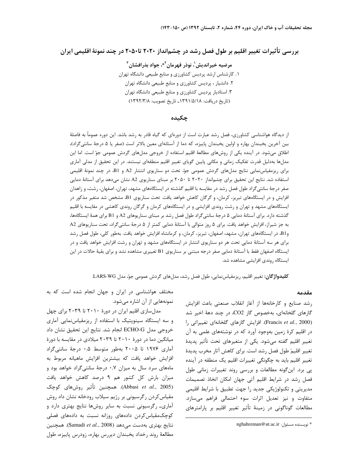بررسی تأثیرات تغییر اقلیم بر طول فصل رشد در چشمانداز ۲۰۲۰ تا۲۰۵۰ در چند نمونهٔ اقلیمی ایران

مرضيه خيرانديش'، نوذر قهرمان<sup>٢</sup>\*، جواد بذرافشان ّ ۱. کارشناس ارشد پردیس کشاورزی و منابع طبیعی دانشگاه تهران ۲. دانشیار ، پردیس کشاورزی و منابع طبیعی دانشگاه تهران ۳. استادیار پردیس کشاورزی و منابع طبیعی دانشگاه تهران (تاريخ دريافت: ١٣٩١/٥/١٨ ـ تاريخ تصويب: ١٣٩٢/٣/٨)

#### چکىدە

از دیدگاه هواشناسی کشاورزی، فصل رشد عبارت است از دورمای که گیاه قادر به رشد باشد. این دوره عموماً به فاصلهٔ بين آخرين يخبندان بهاره و اولين يخبندان پاييزه، كه دما از آستانهاي معين بالاتر است (صفر يا ۵ درجهٔ سانتي گراد)، اطلاق میشود. در آینده یکی از روشهای مطالعهٔ اقلیم استفاده از خروجی مدلهای گردش عمومی جوّ است. اما این مدلها بهدلیل قدرت تفکیک زمانی و مکانی پایین گویای تغییر اقلیم منطقهای نیستند. در این تحقیق از مدلی آماری برای ریزمقیاس نمایی نتایج مدلهای گردش عمومی جوّ، تحت دو سناریوی انتشار A2 و B1، در چند نمونهٔ اقلیمی استفاده شد. نتایج این تحقیق برای چشمانداز ۲۰۲۰ تا ۲۰۵۰ بر مبنای سناریوی A2 نشان میدهد برای آستانهٔ دمایی صفر درجهٔ سانتیگراد طول فصل رشد در مقایسه با اقلیم گذشته در ایستگاههای مشهد، تهران، اصفهان، رشت، و زاهدان افزایش و در ایستگاههای تبریز، کرمان، و گرگان کاهش خواهد یافت. تحت سناریوی B1، مشخص شد متغیر مذکور در ایستگاههای مشهد و تهران و رشت روندی افزایشی و در ایستگاههای کرمان و گرگان روندی کاهشی در مقایسه با اقلیم گذشته دارد. برای آستانهٔ دمایی ۵ درجهٔ سانتیگراد طول فصل رشد بر مبنای سناریوهای A2 و B1 برای همهٔ ایستگاهها، به جز شیراز، افزایش خواهد یافت. برای ۵ روز متوالی با آستانهٔ دمایی کمتر از ۵ درجهٔ سانتی $\xi$ راد، تحت سناریوهای A2 وB1 در ایستگاههای تهران، مشهد، اصفهان، تبریز، کرمان، و کرمانشاه افزایش خواهد یافت. بهطور کلی، طول فصل رشد برای هر سه آستانهٔ دمایی تحت هر دو سناریوی انتشار در ایستگاههای مشهد و تهران و رشت افزایش خواهد یافت و در ایستگاه اصفهان فقط با آستانهٔ دمایی صفر درجه مبتنی بر سناریوی B1 تغییری مشاهده نشد و برای بقیهٔ حالات در این ایستگاه روندی افزایشی مشاهده شد.

كليدواژگان: تغيير اقليم، ريزمقياس نمايي، طول فصل رشد، مدلهاي گردش عمومي جوّ، مدل LARS-WG.

#### مقدمه

رشد صنايع وكارخانهها از آغاز انقلاب صنعتى باعث افزايش گازهای گلخانهای، بهخصوص گاز CO2، در چند دههٔ اخیر شد (Francis et al., 2000). افزایش گازهای گلخانهای تغییراتی را در اقلیم کرهٔ زمین بهوجود آورد که در نوشتههای علمی به آن تغییر اقلیم گفته می شود. یکی از متغیرهای تحت تأثیر پدیدهٔ تغيير اقليمْ طول فصل رشد است. براي كاهش آثار مخرب پديدهٔ تغییر اقلیم باید به چگونگی تغییرات اقلیم یک منطقه در آینده پی برد. این گونه مطالعات و بررسی روند تغییرات زمانی طول فصل رشد در شرایط اقلیم آتی جهان امکان اتخاذ تصمیمات مدیریتی و تکنولوژیکی جدید را جهت تطبیق با شرایط اقلیمی متفاوت و نیز تعدیل اثرات سوء احتمالی فراهم می سازد. مطالعات گوناگونی در زمینهٔ تأثیر تغییر اقلیم بر پارامترهای

مختلف هواشناسی در ایران و جهان انجام شده است که به نمونههایی از آن اشاره میشود.

مدلسازی اقلیم ایران در دورهٔ ۲۰۱۰ تا ۲۰۳۹ برای چهل و سه ایستگاه سینویتیک با استفاده از ریزمقیاس نمایی آماری خروجي مدل ECHO-G انجام شد. نتايج اين تحقيق نشان داد میانگین دما در دورهٔ ۲۰۱۰ تا ۲۰۳۹ میلادی در مقایسه با دورهٔ آماری ۱۹۷۶ تا ۲۰۰۵ بهطور متوسط ۰٫۵ درجهٔ سانتیگراد افزایش خواهد یافت که بیشترین افزایش ماهیانه مربوط به ماههای سرد سال به میزان ۰٫۷ درجهٔ سانتی گراد خواهد بود و میزان بارش کل کشور هم ۹ درصد کاهش خواهد یافت (Abbasi *et al.*, 2005). همچنین تأثیر روشهای کوچک مقیاس کردن رگرسیونی بر رژیم سیلاب رودخانه نشان داد روش آماری۔ رگرسیونی نسبت به سایر روشها نتایج بهتری دارد و کوچکمقیاس کردن دادههای روزانه نسبت به دادههای فصلی نتايج بهترى بهدست مى دهد (Samadi et al., 2008). همچنين مطالعهٔ روند رخداد یخبندان دیررس بهاره، زودرس پاییزه، طول

nghahreman@ut.ac.ir :نویسنده مسئول: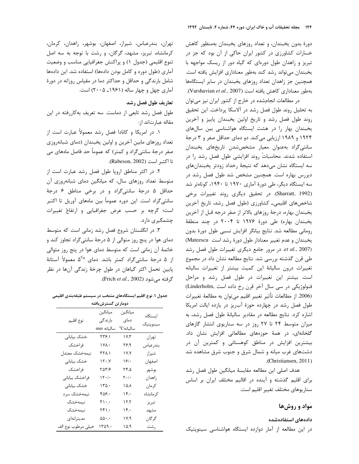دورهٔ بدون یخبندان، و تعداد روزهای یخبندان بهمنظور کاهش خسارات کشاورزی در کشور ایران حاکی از آن بود که جز در تبریز و زاهدان طول دورهای که گیاه دور از ریسک مواجهه با يخبندان مى تواند رشد كند بهطور معنادارى افزايش يافته است. همچنین جز زاهدان تعداد روزهای پخبندان در سایر ایستگاهها بهطور معناداری کاهش یافته است (Varshavian et al., 2007).

در مطالعات انجامشده در خارج از کشور ایران نیز می توان به تحلیل روند طول فصل رشد در آلاسکا پرداخت. این تحقیق روند طول فصل رشد و تاریخ اولین یخبندان پاییز و آخرین یخبندان بهار را در هشت ایستگاه هواشناسی بین سال های ۱۹۲۴ و ۱۹۸۹ ارزیابی میکند. دو دمای حداقل صفر و ۳ درجهٔ سانتی گراد بهعنوان معیار مشخصشدن تاریخهای یخبندان استفاده شدند. محاسباتْ روند افزایشی طول فصل رشد را در سه ایستگاه نشان میدهد که نتیجهٔ رخداد زودتر یخبندانهای دیررس بهاره است. همچنین مشخص شد طول فصل رشد در سه ایستگاه دیگر، طی دورهٔ آماری ۱۹۷۰ تا ۱۹۴۰، کوتاهتر شد (Sharratt, 1992). در تحقیق دیگری روند تغییرات برخی شاخصهای اقلیمی۔ کشاورزی (طول فصل رشد، تاریخ آخرین يخبندان بهاره، درجهٔ روزهاى بالاتر از صفر درجه قبل از آخرين یخبندان بهاره) طی دورهٔ ۱۹۷۶ تا ۲۰۰۴ در چند منطقهٔ رومانی مطالعه شد. نتایج بیانگر افزایش نسبی طول دورهٔ بدون يخبندان و عدم تغيير معنادار طول دورة رشد است Mateescu) et al., 2007). در مرور جامع دیگری تغییرات طول فصل رشد طی قرن گذشته بررسی شد. نتایج مطالعه نشان داد در مجموع تغييرات درون ساليانهٔ اين كميت بيشتر از تغييرات ساليانه است. بیشتر این تغییرات در طول فصل رشد و مراحل فنولوژیکی در سی سال آخر قرن رخ داده است .(Linderholm (2006. از مطالعات تأثير تغيير اقليم مي¤وان به مطالعهٔ تغييرات طول فصل رشد در چهارده حوزهٔ آب ریز در یازده ایالت امریکا اشاره کرد. نتایج مطالعه در مقادیر سالیانهٔ طول فصل رشد، به میزان متوسط ۲۴ تا ۲۷ روز در سه سناریوی انتشار گازهای گلخانهای، در همهٔ حوزههای مطالعاتی افزایش نشان داد. بیشترین افزایش در مناطق کوهستانی و کمترین آن در دشتهای غرب میانه و شمال شرق و جنوب شرق مشاهده شد .(Christiansen, 2011)

هدف اصلی این مطالعه مقایسهٔ میانگین طول فصل رشد برای اقلیم گذشته و آینده در اقالیم مختلف ایران بر اساس سناريوهاي مختلف تغيير اقليم است.

# مواد و روشها

#### دادههای استفادهشده

در این مطالعه از آمار دوازده ایستگاه هواشناسی سینویتیک

تهران، بندرعباس، شيراز، اصفهان، بوشهر، زاهدان، كرمان، كرمانشاه، تبريز، مشهد، گرگان، و رشت با توجه به سه اصل تنوع اقلیمی (جدول ۱) و پراکنش جغرافیایی مناسب و وضعیت آماری (طول دوره و کامل بودن دادهها) استفاده شد. این دادهها شامل بارندگی و حداقل و حداکثر دما در مقیاس روزانه در دورهٔ آماري چهل و چهار ساله (۱۹۶۱ـ ۲۰۰۵) است.

### تعاريف طول فصل رشد

طول فصل رشد تابعی از دماست. سه تعریف به کاررفته در این مقاله عبارتاند از:

١. در امريكا و كانادا فصل رشد معمولاً عبارت است از تعداد روزهای مابین آخرین و اولین یخبندان (دمای شبانهروزی صفر درجهٔ سانتی گراد و کمتر) که عموماً حد فاصل ماههای می تا اكتبر است (Rabeson, 2002).

۲. در اکثر مناطق اروپا طول فصل رشد عبارت است از متوسط تعداد روزهای سال، که میانگین دمای شبانهروزی آن حداقل ۵ درجهٔ سانتیگراد و در برخی مناطق ۶ درجهٔ سانتیگراد است. این دوره عموماً بین ماههای آوریل تا اکتبر است؛ گرچه بر حسب عرض جغرافیایی و ارتفاع تغییرات چشمگیری دارد.

۳. در انگلستان شروع فصل رشد زمانی است که متوسط دمای هوا در پنج روز متوالی از ۵ درجهٔ سانتیگراد تجاوز کند و خاتمهٔ آن زمانی است که متوسط دمای هوا در پنج روز متوالی از ۵ درجهٔ سانتیگراد کمتر باشد. دمای ۵<sup>Co</sup> معمولاً آستانهٔ پایین تحمل اکثر گیاهان در طول چرخهٔ زندگی آنها در نظر گرفته می شود (Frich *et al.,* 2002).

جدول ۱. نوع اقلیم ایستگاههای منتخب در سیستم طبقهبندی اقلیمی

| دومار ىن تسىرس باقىيە |                                        |                                           |                     |  |  |
|-----------------------|----------------------------------------|-------------------------------------------|---------------------|--|--|
| نوع اقليم             | ميانگين<br>بارندگى<br>ساليانه mm       | ميانگين<br>دمای<br>$^0\mathrm{C}$ ساليانه | ايستگاه<br>سينوپتيک |  |  |
| خشک بیابانی           | $\mathbf{Y}\mathbf{Y}\mathbf{P}_{l}$   | $\mathbf{Y}_i \mathbf{Y}_j$               | تهران               |  |  |
| فراخشك                | $\mathsf{Y}\mathsf{Y}\mathsf{A}_i$     | ۲۶۹                                       | بندر عباس           |  |  |
| نيمەخشک معتدل         | $\mathsf{YYA}_{1}$                     | Y/Y                                       | شيراز               |  |  |
| خشک بیابانی           | $\mathcal{N} \cdot \mathcal{N}$        | $\frac{1}{2}$                             | اصفهان              |  |  |
| فراخشک                | ۳۵۳/۶                                  | ۲۴،۵                                      | بوشهر               |  |  |
| فراخشک بیابانی        | 15.1                                   | $\mathbf{r} \cdot \mathbf{r}$             | زاهدان              |  |  |
| خشک بیابانی           | $1 \text{r} \Delta_i \cdot$            | $\Delta/\Lambda$                          | كرمان               |  |  |
| نيمەخشک سرد           | $\mathfrak{r}\Delta\mathfrak{s}_{i}$ . | $\mathcal{N}_{f}$                         | کر مانشاہ           |  |  |
| نيمەخشک               | $\mathbf{r}\cdot\mathbf{r}$            | $\mathbf{Y}_i$                            | تبريز               |  |  |
| نيمەخشک               | $\mathsf{Y}\mathsf{F}\mathsf{Y}_1$     | $\mathcal{N}_{f}$                         | مشهد                |  |  |
| مديترانهاي            | $\Delta \Delta \cdot$                  | $V/\mathcal{A}$                           | گر گان              |  |  |
| خيلي مرطوب نوع الف    | 1409/                                  | ۱۵ $\beta$                                | رشت                 |  |  |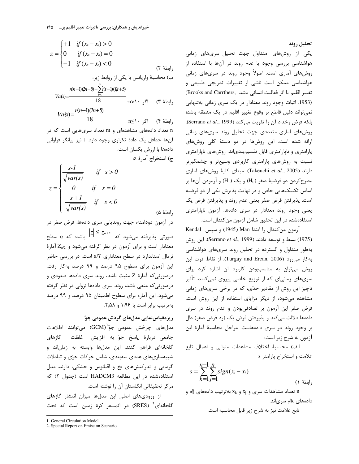تحليل روند

یکی از روشهای متداول جهت تحلیل سریهای زمانی هواشناسی بررسی وجود یا عدم روند در آنها با استفاده از روشهای آماری است. اصولاً وجود روند در سریهای زمانی هواشناسی ممکن است ناشی از تغییرات تدریجی طبیعی و تغيير اقليم يا اثر فعاليت انساني باشد .Brooks and Carrthers) (1953. اثبات وجود روند معنادار در یک سری زمانی بهتنهایی نمی تواند دلیل قاطع بر وقوع تغییر اقلیم در یک منطقه باشد؛ بلكه فرض رخداد آن را تقويت مي كند (Serrano et al., 1999). روشهای آماری متعددی جهت تحلیل روند سریهای زمانی ارائه شده است. این روشها در دو دستهٔ کلی روشهای پارامتری و ناپارامتری قابل تقسیمبندیاند. روشهای ناپارامتری نسبت به روشهای پارامتری کاربردی وسیعتر و چشمگیرتر دارند (Takeuchi et al., 2005). مبنای کلیهٔ روشهای آماری مطرح کردن دو فرضیهٔ صفر (H<sub>0</sub>) و یک (H<sub>1</sub>) و آزمودن آنها بر اساس تکنیکهایی خاص و در نهایت پذیرش یکی از دو فرضیه است. پذیرفتن فرض صفر یعنی عدم روند و پذیرفتن فرض یک یعنی وجود روند معنادار در سری دادهها. آزمون ناپارامتری استفادهشده در این تحقیق شامل آزمون من کندال است.

آزمون من كندال را ابتدا Man (1945) وسيس Kendal (1975) بسط و توسعه دادند (Serrano et al., 1999). این روش بهطور متداول و گسترده در تحلیل روند سریهای هواشناسی به كار مى رود (Turgay and Ercan, 2006). از نقاط قوت اين روش می توان به مناسببودن کاربرد آن اشاره کرد برای سریهای زمانیای که از توزیع خاصی پیروی نمیکنند. تأثیر ناچيز اين روش از مقادير حدّى، كه در برخي سرىهاى زمانى مشاهده می شود، از دیگر مزایای استفاده از این روش است. فرض صفر این آزمون بر تصادفیبودن و عدم روند در سری دادهها دلالت میکند و پذیرفتن فرض یک (رد فرض صفر) دال بر وجود روند در سرى دادههاست. مراحل محاسبة آمارة اين آزمون به شرح زير است:

الف) محاسبهٔ اختلاف مشاهدات متوالی و اعمال تابع علامت و استخراج پارامتر s:

$$
s = \sum_{k=1}^{n-1} \sum_{j=1}^{n} sign(x_i - x_k)
$$
 (1)

ا تعداد مشاهدات سری و  $x_i$  و  $x_k$  بهترتیب دادههای j تعداد مشاهدات سری و  $x_k$ دادههای kk سریاند.

تابع علامت نيز به شرح زير قابل محاسبه است:

$$
z = \begin{cases} +1 & \text{if } (x_i - x_i) > 0 \\ 0 & \text{if } (x_i - x_i) = 0 \\ -1 & \text{if } (x_i - x_i) < 0 \end{cases}
$$
 (7)  $\Delta$   
(4)  $\Delta$   
(5)  $\Delta$   
(6)  $\Delta$   
 $\Delta$   
 $\Delta$   
 $\Delta$   
 $\Delta$   
 $\Delta$   
 $\Delta$   
 $\Delta$   
 $\Delta$   
 $\Delta$   
 $\Delta$   
 $\Delta$   
 $\Delta$   
 $\Delta$   
 $\Delta$   
 $\Delta$   
 $\Delta$   
 $\Delta$   
 $\Delta$   
 $\Delta$   
 $\Delta$   
 $\Delta$   
 $\Delta$   
 $\Delta$   
 $\Delta$   
 $\Delta$   
 $\Delta$   
 $\Delta$   
 $\Delta$   
 $\Delta$   
 $\Delta$   
 $\Delta$   
 $\Delta$   
 $\Delta$   
 $\Delta$   
 $\Delta$   
 $\Delta$   
 $\Delta$   
 $\Delta$   
 $\Delta$   
 $\Delta$   
 $\Delta$   
 $\Delta$   
 $\Delta$   
 $\Delta$   
 $\Delta$   
 $\Delta$   
 $\Delta$   
 $\Delta$   
 $\Delta$   
 $\Delta$   
 $\Delta$   
 $\Delta$   
 $\Delta$   
 $\Delta$   
 $\Delta$   
 $\Delta$   
 $\Delta$   
 $\Delta$   
 $\Delta$   
 $\Delta$   
 $\Delta$   
 $\Delta$   
 $\Delta$   
 $\Delta$   
 $\Delta$   
 $\Delta$   
 $\Delta$   
 $\Delta$   
 $\Delta$   
 $\Delta$   
 $\Delta$   
 $\Delta$   
 $\Delta$   
 $\Delta$   
 $\Delta$   
 $\Delta$   
 $\Delta$   
 $\Delta$   
 $\Delta$   
 $\Delta$   
 $\Delta$ 

, ابطهٔ ۴) | اگر ۱۰∑m n تعداد دادههای مشاهدهای و m تعداد سریهایی است که در آنها حداقل یک دادهٔ تکراری وجود دارد. t نیز بیانگر فراوانی دادهها با ارزش یکسان است. ج) استخراج آمارهٔ z:

$$
z = \begin{cases} \frac{s-1}{\sqrt{var(s)}} & \text{if } s > 0\\ 0 & \text{if } s = 0\\ \frac{s+1}{\sqrt{var(s)}} & \text{if } s < 0 \end{cases}
$$

رابطة ۵)

در آزمون دودامنه، جهت روندیابی سری دادهها، فرض صفر در صورتی پذیرفته میشود که  $|z| \le z$  باشد؛ که  $\alpha$  سطح $z$ معنادار است و برای آزمون در نظر گرفته میشود و Za/2 آمارهٔ نرمال استاندارد در سطح معناداری α/٢ است. در بررسی حاضر این آزمون برای سطوح ۹۵ درصد و ۹۹ درصد به کار رفت. درصورتی که آمارهٔ Z مثبت باشد، روند سری دادهها صعودی و درصورتی که منفی باشد، روند سری دادهها نزولی در نظر گرفته می شود. این آماره برای سطوح اطمینان ۹۵ درصد و ۹۹ درصد به ترتیب برابر است با ۱٫۹۶ و ۲٫۵۸.

# ریزمقیاسنمایی مدلهای گردش عمومی جوّ

مدلهای چرخش عمومی جوّ<sup>`</sup>(GCM) میتوانند اطلاعات جامعی دربارهٔ پاسخ جوّ به افزایش غلظت گازهای گلخانهای فراهم کنند. این مدلها وابسته به زماناند و شبیهسازیهای عددی سهبعدی، شامل حرکات جوّی و تبادلات گرمایی و اندرکنشهای یخ و اقیانوس و خشکی، دارند. مدل استفادهشده در این مطالعه HADCM3 است (جدول ٢) که مركز تحقيقاتي انگلستان آن را نوشته است.

از ورودیهای اصلی این مدلها میزان انتشار گازهای گلخانهای<sup>۲</sup> (SRES) در اتمسفر کرهٔ زمین است که تحت

<sup>1.</sup> General Circulation Model

<sup>2.</sup> Special Report on Emission Scenario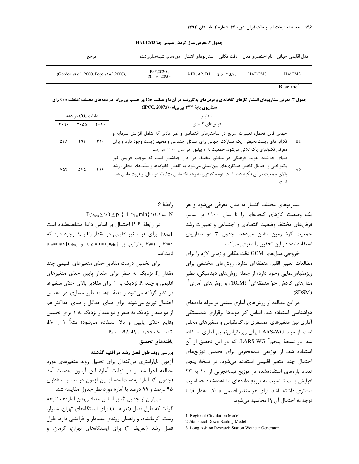جدول ٢. معرفي مدل گردش عمومي جوّ HADCM3

| مرجع                                                      | مدل اقلیمی جهانی ِ نام اختصاری مدل ِ دقت مکانی پسناریوهای انتشار پدورههای شبیهسازی شده |                                   |        |        |
|-----------------------------------------------------------|----------------------------------------------------------------------------------------|-----------------------------------|--------|--------|
| (Gordon <i>et al.</i> , 2000, Pope <i>et al.</i> , 2000), | $Bs*, 2020s,$<br>2055s, 2090s                                                          | A1B, A2, B1 $2.5^{\circ}$ * 3.75° | HADCM3 | HadCM3 |

Baseline

جدول ۳. معرفی سناریوهای انتشار گازهای گلخانهای و فرضهای بهکاررفته در آنها و غلظت یCo <sub>(</sub>بر حسب پیپی|م) در دهههای مختلف (غلظت یCo برای سناریوی پایهٔ ۳۳۴ یی یی)م) (IPCC, 2007a)

|       | غلظت $\rm CO_{2}$ در دهه<br>سناريو                                                                                                                                                                                                                                    |     |                                           |                                     |
|-------|-----------------------------------------------------------------------------------------------------------------------------------------------------------------------------------------------------------------------------------------------------------------------|-----|-------------------------------------------|-------------------------------------|
|       | فرضهاى كليدى                                                                                                                                                                                                                                                          |     | $Y \cdot \Delta \Delta$ $Y \cdot Y \cdot$ | $\mathbf{y} \cdot \mathbf{y} \cdot$ |
| - B 1 | جهانی قابل تحمل، تغییرات سریع در ساختارهای اقتصادی و غیر مادی که شامل افزایش سرمایه و<br>نگرانیهای زیستمحیطی، یک مشارکت جهانی برای مسائل اجتماعی و محیط زیست وجود دارد و برای<br>معرفی تکنولوژی پاک تلاش میشود، جمعیت به ۷ بیلیون در سال ۲۱۰۰ می رسد.                 | ۴۱۰ | ۴۹۲                                       | ۵۳۸                                 |
| A2    | دنیای جداشده، هویت فرهنگی در مناطق مختلف در حال جداشدن است که موجب افزایش غیر<br>یکنواختی و احتمال کاهش همکاریهای بین لمللی میشود. به کاهش خانوادهها و سنّتهای محلی، رشد<br>بالای جمعیت در آن تأکید شده است. توجه کمتری به رشد اقتصادی (۱٫۶۵٪ در سال) و ثروت مادی شده | ۴۱۴ | ۵۴۵                                       | ۷۵۴                                 |

سناریوهای مختلف انتشار به مدل معرفی می شود و هر یک وضعیت گازهای گلخانهای را تا سال ۲۱۰۰ بر اساس فرضهای مختلف وضعیت اقتصادی و اجتماعی و تغییرات رشد جمعیت کرهٔ زمین نشان میدهد. جدول ۳ دو سناریوی استفادهشده در این تحقیق را معرفی می کند.

خروجی مدلهای GCM دقت مکانی و زمانی لازم را برای مطالعات تغيير اقليم منطقهاي ندارد. روشهاى مختلفى براى ریزمقیاس نمایی وجود دارد؛ از جمله روشهای دینامیکی، نظیر مدلهای گردش جوّ منطقهای ( RCM)، و روشهای آماری آ  $(SDSM)$ 

در این مطالعه از روشهای آماری مبتنی بر مولد دادههای هواشناسی استفاده شد. اساس کار مولدها برقراری همبستگی آماری بین متغیرهای اتمسفری بزرگمقیاس و متغیرهای محلی است. از مولد LARS-WG برای ریزمقیاسiمایی آماری استفاده شد. در نسخهٔ پنجم<sup>۳</sup> LARS-WG، که در این تحقیق از آن استفاده شد، از توزیعی نیمهتجربی برای تخمین توزیعهای احتمال چند متغیر اقلیمی استفاده می شود. در نسخهٔ پنجم تعداد بازههای استفادهشده در توزیع نیمهتجربی از ١٠ به ٢٣ افزایش یافت تا نسبت به توزیع دادههای مشاهدهشده حساسیت بیشتری داشته باشد. برای هر متغیر اقلیمی v یک مقدار vi با توجه به احتمال آن  $P_i$  محاسبه مے شود.

ابطة ۶.

 $P(v_{obs} \le v) \ge p_i$  } i= $v_i$  = min{ v \ \ \ \ \ \ ..... N

در رابطة P ۶ احتمال بر اساس دادة مشاهدهشده است برای هر متغیر اقلیمی دو مقدار  $P_0$ و  $P_n$  وجود دارد که  $\{v_{\rm obs}\}$  $v_n = max\{v_{obs}\}\$  و  $P_n = \{v_{obs}\}\$  به ترتیب بر  $v_0 = min\{v_{obs}\}\$ ثابت|ند.

برای تخمین درست مقادیر حدّی متغیرهای اقلیمی چند مقدار :P نزدیک به صفر برای مقدار پایین حدّی متغیرهای اقلیمی و چند P<sub>i</sub> نزدیک به ۱ برای مقادیر بالای حدّی متغیرها در نظر گرفته می شود و بقیهٔ p<sub>i</sub>ها به طور مساوی در مقیاس احتمال توزیع می شوند. برای دمای حداقل و دمای حداکثر هم از دو مقدار نزدیک به صفر و دو مقدار نزدیک به ۱ برای تخمین وقايع حدّى پايين و بالا استفاده مى شود؛ مثلاً Pr=٠/٠١  $P_{n-2} = \cdot \wedge \wedge P_{n-1} = \cdot \wedge \wedge P_{n} = \cdot \wedge \vee$ 

### يافتههاى تحقيق

## بررسی روند طول فصل رشد در اقلیم گذشته

آزمون ناپارامتری من کندال برای تحلیل روند متغیرهای مورد مطالعه اجرا شد و در نهایت آمارهٔ این آزمون بهدست آمد (جدول ۴). آمارهٔ بهدستآمده از این آزمون در سطح معناداری ۹۵ درصد و ۹۹ درصد با آمارهٔ مورد نظر جدول مقایسه شد.

می توان از جدول ۴، بر اساس معناداربودن آمارهها، نتیجه گرفت که طول فصل (تعریف ۱) برای ایستگاههای تهران، شیراز، رشت، کرمانشاه، و زاهدان روندی معنادار و افزایشی دارد. طول فصل رشد (تعریف ۲) برای ایستگاههای تهران، کرمان، و

<sup>1.</sup> Regional Circulation Model

<sup>2 .</sup>Statistical Down-Scaling Model

<sup>3.</sup> Long Ashton Research Station Wethear Generator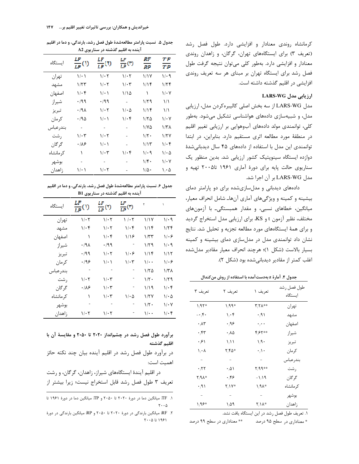کرمانشاه روندی معنادار و افزایشی دارد. طول فصل رشد (تعریف ٣) برای ایستگاههای تهران، گرگان، و زاهدان روندی معنادار و افزایشی دارد. بهطور کلی میتوان نتیجه گرفت طول فصل رشد برای ایستگاه تهران بر مبنای هر سه تعریف روندی افزایشی در اقلیم گذشته داشته است.

### ارزیابی مدل LARS-WG

مدل LARS-WG از سه بخش اصلی کالیبرهکردن مدل، ارزیابی مدل، و شبیهسازی دادههای هواشناسی تشکیل میشود. بهطور کلی، توانمندی مولد دادههای آبوهوایی بر ارزیابی تغییر اقلیم در منطقهٔ مورد مطالعه اثری مستقیم دارد. بنابراین، در ابتدا توانمندی این مدل با استفاده از دادههای ۴۵ سال دیدبانی شدهٔ دوازده ایستگاه سینوپتیک کشور ارزیابی شد. بدین منظور یک سناریوی حالت پایه برای دورهٔ آماری ۱۹۶۱ تا۲۰۰۵ تهیه و مدل LARS-WG بر آن اجرا شد.

دادههای دیدبانی و مدلسازیشده برای دو پارامتر دمای بیشینه و کمینه و ویژگیهای آماری آنهاـ شامل انحراف معیار، میانگین، خطاهای نسبی، و مقدار همبستگی۔ با آزمونهای مختلف، نظیر آزمون t و KS، برای ارزیابی مدل استخراج گردید و برای همهٔ ایستگاههای مورد مطالعه تجزیه و تحلیل شد. نتایج نشان داد توانمندی مدل در مدل سازی دمای بیشینه و کمینه بسيار بالاست (شكل ١)؛ هرچند انحراف معيار مقادير مدل شده اغلب كمتر از مقادير ديدباني شده بود (شكل ٢).

جدول ۴. آمارهٔ z بهدستآمده با استفاده از روش من *ک*ندال

| تعريف ٣                   | تعريف ٢                           | تعريف ١              | طول فصل رشد<br>ايستگاه |
|---------------------------|-----------------------------------|----------------------|------------------------|
| $1.97*$                   | 1,99*                             | <b>٣,٢٨**</b>        | تهران                  |
| $-\cdot$ $\uparrow$ .     | $\mathcal{N}_f \cdot \mathcal{F}$ | $\cdot \wedge$       | مشهد                   |
| $\cdot \wedge \tau$       | ۹۶،                               | $\cdot$ , $\cdot$    | اصفهان                 |
| $\cdot$ ۴۳                | $\cdot \wedge \Delta$             | **۲**                | شيراز                  |
| ۰۶۱                       | $\sqrt{1}$                        | 1/9                  | تبريز                  |
| $\lambda_i \cdot \lambda$ | *۳۵۶                              | $\cdot \wedge \cdot$ | كرمان                  |
| $\overline{\phantom{0}}$  | $\sim$                            | $\equiv$             | بندرعباس               |
| $\cdot$ ,۲۲               | $\cdot \Delta \Lambda$            | **۹۹*                | رشت                    |
| *۸۸*                      | ۰٬۴۶                              | $-1/19$              | گر گان                 |
| $\cdot$ ,9)               | *۱۷/                              | ∗۱,۹۸∗               | کر مانشاہ              |
|                           |                                   | $\sim$               | يوشهر                  |
| 1,98*                     | ۱٬۵۹                              | *۱۸ /                | زاهدان                 |

١. تعريف طول فصل رشد در اين ايستگاه يافت نشد.

\*\* معناداری در سطح ۹۹ درصد \* معناداری در سطح ۹۵ درصد

جدول ۵. نسبت پارامتر مطالعهشدهٔ طول فصل رشد، بارندگی، و دما در اقلیم آینده به اقلیم گذشته در سناریوی A2

| اىستگاە   | v<br>$\frac{1}{L^p}$ (1) | $\frac{LP}{LP}(0)$ | $\frac{LF}{LP}$ (T) | RF<br>RP     | ŦР<br>ŦР                        |
|-----------|--------------------------|--------------------|---------------------|--------------|---------------------------------|
| تهران     | ۱/۰۱                     | $1/\cdot 7$        | ۱۱۰۲                | ۱٬۱۷         | ۱/۰۹                            |
| مشهد      | ۱/۲۳                     | ۱/۰۲               | ۱/۰۳                | ۱۱۴          | ۱/۲۴                            |
| اصفهان    | ۱/۰۴                     | ۱۰۱                | ۱۱۵                 | ١            | $1/\cdot Y$                     |
| شيراز     | ۰/۹۹                     | ۰٬۹۹               | $\blacksquare$      | ۱/۲۹         | $\binom{1}{2}$                  |
| تبريز     | ۰/۹۸                     | ۱/۰۲               | ۱/۰۵                | ۱٬۱۴         | $\binom{1}{2}$                  |
| کر مان    | ۱۹۵.                     | ۱۰۱                | ۱۱۰۴                | ۱۱۲۵         | ۱٬۰۷                            |
| بندرعباس  | ÷,                       | $\sim$             |                     | ۱۱۷۵         | ۱/۳۸                            |
| ر شت      | ۱/۰۳                     | ۱/۰۲               |                     | ۱۱۲۰         | 1/7Y                            |
| گ, گان    | ۰۱۸۶                     | ۱۰۱                |                     | ۱٬۱۳         | $1/\cdot f$                     |
| کر مانشاه | ١                        | ۱/۰۳               | ۱۱۰۴                | ۱/۰۹         | $1/\cdot \Delta$                |
| بوشهر     |                          |                    |                     | ۱۴۰          | ۱٬۰۷                            |
| زاهدان    | ۱/۰۱                     | ۱/۰۲               |                     | $1/\Delta$ . | $\mathcal{N} \cdot \mathcal{N}$ |

| جدول ۶. نسبت پارامتر مطالعهشدهٔ طول فصل رشد، بارندگی، و دما در اقلیم |
|----------------------------------------------------------------------|
| آینده به اقلیم گذشته در سناریوی B1                                   |

| اىستگاە   | $\frac{LF}{LP}(0)$ | LF<br>$\frac{1}{LP}(\mathfrak{N})$ | $\frac{LF}{LP}(0)$ | ٢                          | $\lambda$        |
|-----------|--------------------|------------------------------------|--------------------|----------------------------|------------------|
| تهران     | ۱/۰۲               | ۱/۰۲                               | 1 / 7              | ۱٬۱۷                       | $1/\cdot$ 9      |
| مشهد      | ۱/۰۴               | $1/\cdot 7$                        | ۱۱۰۴               | ۱٬۱۴                       | ۱۱۲۴             |
| اصفهان    | ١                  | $1/\cdot 5$                        | ۱۱۶                | ۱/۳۳                       | $1-\epsilon$     |
| شيراز     | .41                | ۰/۹۹                               |                    | ۱۱۲۹                       | ۱/۰۹             |
| تبريز     | $\cdot$ /99        | $1/\cdot 7$                        | ۱۱۰۶               | ۱٬۱۴                       | ۱٬۱۲             |
| کر مان    | ۱۹۶                | $1/\cdot$ )                        | $1/\cdot 7$        | $\sqrt{\cdot \cdot \cdot}$ | $1/\cdot 5$      |
| بندرعباس  |                    |                                    |                    | ۱۱۲۵                       | ۱/۳۸             |
| , شت      | ۱/۰۲               | ۱/۰۳                               |                    | $1/\zeta$ .                | ۱۱۲۹             |
| گر گان    | ۰۱۸۶               | $1/\cdot 7$                        |                    | ۱/۱۹                       | $1/\cdot 5$      |
| کر مانشاه | ١                  | $1/\cdot 7$                        | $1/\cdot \Delta$   | 1/7V                       | $1/\cdot \Delta$ |
| بوشهر     |                    |                                    |                    | $1/\zeta$ .                | $1/\cdot 7$      |
| زاهدان    | ۱/۰۲               | ۱٬۰۲                               |                    | $\sqrt{\cdot \cdot \cdot}$ | $1/\cdot$ ۴      |

## برآورد طول فصل رشد در چشمانداز ۲۰۲۰ تا ۲۰۵۰ و مقایسهٔ آن با اقليم گذشته

در برآورد طول فصل رشد در اقلیم آینده بیان چند نکته حائز اهميت است:

در اقلیم آیندهٔ ایستگاههای شیراز، زاهدان، گرگان، و رشت تعریف ۳ طول فصل رشد قابل استخراج نیست؛ زیرا بیشتر از

۱. TF: میانگین دما در دورهٔ ۲۰۲۰ تا ۲۰۵۰ و TP: میانگین دما در دورهٔ ۱۹۶۱ تا  $\mathbf{Y} \cdot \cdot \mathbf{A}$ 

۲. RF: میانگین بارندگی در دورهٔ ۲۰۲۰ تا ۲۰۵۰ و RP: میانگین بارندگی در دورهٔ  $Y \cdot 0$  تا ۱۹۶۱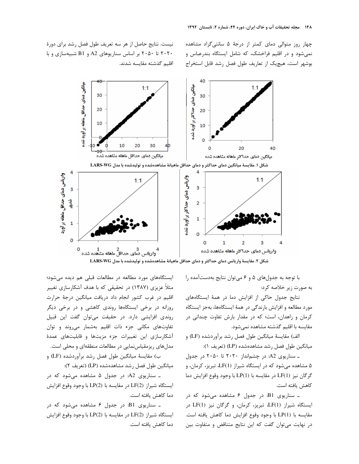چهار روز متوالی دمای کمتر از درجهٔ ۵ سانتی گراد مشاهده نمی شود و در اقلیم فراخشک، که شامل ایستگاه بندرعباس و بوشهر است، هیچیک از تعاریف طول فصل رشد قابل استخراج

نیست. نتایج حاصل از هر سه تعریف طول فصل رشد برای دورهٔ ۲۰۲۰ تا ۲۰۵۰ بر اساس سناریوهای A2 و B1 شبیهسازی و با اقلیم گذشته مقایسه شدند.



شکل ۲. مقایسهٔ واریانس دمای حداکثر و دمای حداقل ماهیانهٔ مشاهدهشده و تولیدشده با مدل LARS-WG

با توجه به جدولهای ۵ و ۶ میتوان نتایج بهدستآمده را به صورت زیر خلاصه کرد:

نتایج جدول حاکی از افزایش دما در همهٔ ایستگاههای مورد مطالعه و افزایش بارندگی در همهٔ ایستگاهها، بهجز ایستگاه کرمان و زاهدان، است؛ که در مقدار بارش تفاوت چندانی در مقايسه با اقليم گذشته مشاهده نمي شود.

الف) مقايسهٔ ميانگين طول فصل رشد برآوردشده (LF) و ميانگين طول فصل رشد مشاهدهشده (LP) (تعريف ١):

ـ سناریوی A2: در چشمانداز ۲۰۲۰ تا ۲۰۵۰ در جدول ۵ مشاهده می شود که در ایستگاه شیراز (LF(1، تبریز، کرمان، و گرگان نیز (LF(1 در مقایسه با (LP(1 با وجود وقوع افزایش دما كاهش يافته است.

ـ سناریوی B1: در جدول ۶ مشاهده میشود که در ایستگاه شیراز (LF(1 تبریز، کرمان، و گرگان نیز (LF(1 در مقايسه با (LP(1 با وجود وقوع افزايش دما كاهش يافته است. در نهایت می توان گفت که این نتایج متناقض و متفاوت بین

ایستگاههای مورد مطالعه در مطالعات قبلی هم دیده می شود؛ مثلاً عزیزی (۱۳۸۷) در تحقیقی که با هدف آشکارسازی تغییر اقلیم در غرب کشور انجام داد دریافت میانگین درجهٔ حرارت روزانه در برخی ایستگاهها روندی کاهشی و در برخی دیگر روندی افزایشی دارد. در حقیقت میتوان گفت این قبیل تفاوتهای مکانی جزء ذات اقلیم بهشمار می روند و توان آشکارسازی این تغییرات جزء مزیتها و قابلیتهای عمدهٔ مدلهای ریزمقیاس نمایی در مطالعات منطقهای و محلی است. ب) مقايسهٔ ميانگين طول فصل رشد برآوردشده (LF) و

ميانگين طول فصل رشد مشاهدهشده (LP) (تعريف ٢):

ـ سناریوی A2: در جدول ۵ مشاهده میشود که در ايستگاه شيراز (2)LF در مقايسه با (2)LP با وجود وقوع افزايش دما كاهش يافته است.

ـ سناریوی B1: در جدول ۶ مشاهده میشود که در ايستگاه شيراز (2)LF در مقايسه با (2)LP با وجود وقوع افزايش دما كاهش يافته است.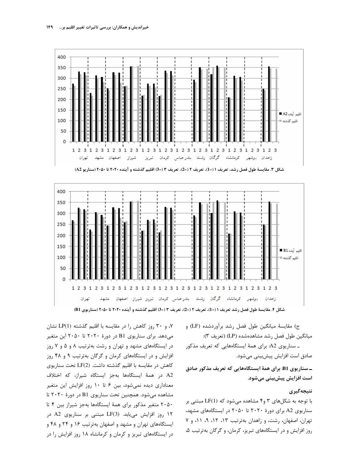

شكل ٣. مقايسة طول فصل رشد، تعريف ١ (=1)، تعريف ٢ (=2)، تعريف ٣ (=3) اقليم گذشته و آينده ٢٠٢٠ تا ٢٠٥٠ (سناريو A2)



ج) مقايسهٔ ميانگين طول فصل رشد برآوردشده (LF) و ميانگين طول فصل رشد مشاهدهشده (LP) (تعريف ٣):

ـ سناریوی A2: برای همهٔ ایستگاههایی که تعریف مذکور صادق است افزایش پیشبینی میشود.

ـ سناریوی B1: برای همهٔ ایستگاههایی که تعریف مذکور صادق است افزایش پیشبینی میشود.

### نتيجەگيرى

با توجه به شکلهای ۳ و۴ مشاهده می شود که (LF(1 مبتنی بر سناریوی A2 برای دورهٔ ۲۰۲۰ تا ۲۰۵۰ در ایستگاههای مشهد، تهران، اصفهان، رشت، و زاهدان بهترتیب ١٣، ١٢، ٩، ١١، و ٧ روز افزایش و در ایستگاههای تبریز، کرمان، و گرگان بهترتیب ۵،

۰۷ و ۳۰ روز کاهش را در مقایسه با اقلیم گذشته (LP(1 نشان میدهد. برای سناریوی B1 در دورهٔ ۲۰۲۰ تا ۲۰۵۰ این متغیر در ایستگاههای مشهد و تهران و رشت بهترتیب ۸ و ۵ و ۷ روز افزایش و در ایستگاههای کرمان و گرگان بهترتیب ۹ و ۴۸ روز كاهش در مقايسه با اقليم گذشته داشت. (LF(2 تحت سناريوي A2 در همهٔ ایستگاهها بهجز ایستگاه شیراز، که اختلاف معناداری دیده نمیشود، بین ۶ تا ۱۰ روز افزایش این متغیر مشاهده می شود. همچنین تحت سناریوی B1 در دورهٔ ۲۰۲۰ تا ٢٠۵٠ متغير مذكور براى همهٔ ايستگاهها بهجز شيراز بين ۴ تا ١٢ روز افزايش مى يابد. (LF(3 مبتنى بر سناريوى A2 در ایستگاههای تهران و مشهد و اصفهان بهترتیب ۱۶ و ۲۴ و ۴۸ و در ایستگاههای تبریز و کرمان و کرمانشاه ۱۸ روز افزایش را در